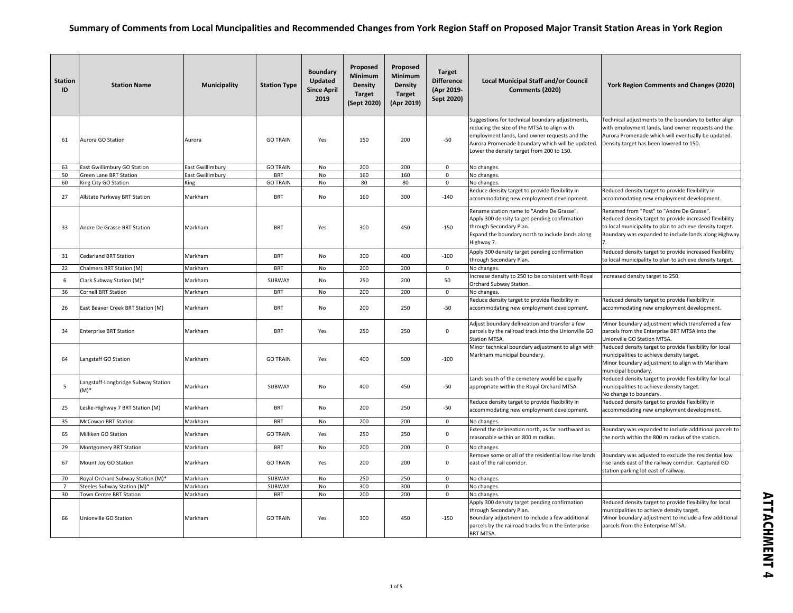| <b>Station</b><br>ID | <b>Station Name</b>                         | <b>Municipality</b>     | <b>Station Type</b> | <b>Boundary</b><br>Updated<br><b>Since April</b><br>2019 | Proposed<br><b>Minimum</b><br><b>Density</b><br><b>Target</b><br>(Sept 2020) | Proposed<br>Minimum<br><b>Density</b><br><b>Target</b><br>(Apr 2019) | <b>Target</b><br><b>Difference</b><br>(Apr 2019-<br>Sept 2020) | <b>Local Municipal Staff and/or Council</b><br>Comments (2020)                                                                                                                                                                                   | York Region Comments and Changes (2020)                                                                                                                                                                                  |
|----------------------|---------------------------------------------|-------------------------|---------------------|----------------------------------------------------------|------------------------------------------------------------------------------|----------------------------------------------------------------------|----------------------------------------------------------------|--------------------------------------------------------------------------------------------------------------------------------------------------------------------------------------------------------------------------------------------------|--------------------------------------------------------------------------------------------------------------------------------------------------------------------------------------------------------------------------|
| 61                   | Aurora GO Station                           | Aurora                  | <b>GO TRAIN</b>     | Yes                                                      | 150                                                                          | 200                                                                  | $-50$                                                          | Suggestions for technical boundary adjustments,<br>reducing the size of the MTSA to align with<br>employment lands, land owner requests and the<br>Aurora Promenade boundary which will be updated.<br>Lower the density target from 200 to 150. | Technical adjustments to the boundary to better align<br>with employment lands, land owner requests and the<br>Aurora Promenade which will eventually be updated.<br>Density target has been lowered to 150.             |
| 63                   | East Gwillimbury GO Station                 | <b>East Gwillimbury</b> | <b>GO TRAIN</b>     | No                                                       | 200                                                                          | 200                                                                  | 0                                                              | No changes.                                                                                                                                                                                                                                      |                                                                                                                                                                                                                          |
| 50                   | Green Lane BRT Station                      | East Gwillimbury        | <b>BRT</b>          | No                                                       | 160                                                                          | 160                                                                  | 0                                                              | No changes.                                                                                                                                                                                                                                      |                                                                                                                                                                                                                          |
| 60                   | King City GO Station                        | King                    | <b>GO TRAIN</b>     | No                                                       | 80                                                                           | 80                                                                   | $\mathbf{0}$                                                   | No changes.                                                                                                                                                                                                                                      |                                                                                                                                                                                                                          |
| 27                   | Allstate Parkway BRT Station                | Markham                 | <b>BRT</b>          | No                                                       | 160                                                                          | 300                                                                  | $-140$                                                         | Reduce density target to provide flexibility in<br>accommodating new employment development.                                                                                                                                                     | Reduced density target to provide flexibility in<br>accommodating new employment development.                                                                                                                            |
| 33                   | Andre De Grasse BRT Station                 | Markham                 | <b>BRT</b>          | Yes                                                      | 300                                                                          | 450                                                                  | $-150$                                                         | Rename station name to "Andre De Grasse".<br>Apply 300 density target pending confirmation<br>through Secondary Plan.<br>Expand the boundary north to include lands along<br>Highway 7.                                                          | Renamed from "Post" to "Andre De Grasse".<br>Reduced density target to provide increased flexibility<br>to local municipality to plan to achieve density target.<br>Boundary was expanded to include lands along Highway |
| 31                   | <b>Cedarland BRT Station</b>                | Markham                 | <b>BRT</b>          | No                                                       | 300                                                                          | 400                                                                  | $-100$                                                         | Apply 300 density target pending confirmation<br>through Secondary Plan.                                                                                                                                                                         | Reduced density target to provide increased flexibility<br>to local municipality to plan to achieve density target.                                                                                                      |
| 22                   | Chalmers BRT Station (M)                    | Markham                 | <b>BRT</b>          | No                                                       | 200                                                                          | 200                                                                  | 0                                                              | No changes.                                                                                                                                                                                                                                      |                                                                                                                                                                                                                          |
| 6                    | Clark Subway Station (M)*                   | Markham                 | SUBWAY              | No                                                       | 250                                                                          | 200                                                                  | 50                                                             | Increase density to 250 to be consistent with Royal<br>Orchard Subway Station.                                                                                                                                                                   | Increased density target to 250.                                                                                                                                                                                         |
| 36                   | <b>Cornell BRT Station</b>                  | Markham                 | <b>BRT</b>          | <b>No</b>                                                | 200                                                                          | 200                                                                  | $\mathsf 0$                                                    | No changes.                                                                                                                                                                                                                                      |                                                                                                                                                                                                                          |
| 26                   | East Beaver Creek BRT Station (M)           | Markham                 | <b>BRT</b>          | No                                                       | 200                                                                          | 250                                                                  | $-50$                                                          | Reduce density target to provide flexibility in<br>accommodating new employment development.                                                                                                                                                     | Reduced density target to provide flexibility in<br>accommodating new employment development.                                                                                                                            |
| 34                   | <b>Enterprise BRT Station</b>               | Markham                 | <b>BRT</b>          | Yes                                                      | 250                                                                          | 250                                                                  | 0                                                              | Adjust boundary delineation and transfer a few<br>parcels by the railroad track into the Unionville GO<br><b>Station MTSA.</b>                                                                                                                   | Minor boundary adjustment which transferred a few<br>parcels from the Enterprise BRT MTSA into the<br>Unionville GO Station MTSA.                                                                                        |
| 64                   | Langstaff GO Station                        | Markham                 | <b>GO TRAIN</b>     | Yes                                                      | 400                                                                          | 500                                                                  | $-100$                                                         | Minor technical boundary adjustment to align with<br>Markham municipal boundary.                                                                                                                                                                 | Reduced density target to provide flexibility for local<br>municipalities to achieve density target.<br>Minor boundary adjustment to align with Markham<br>municipal boundary.                                           |
| 5                    | Langstaff-Longbridge Subway Station<br>(M)* | Markham                 | SUBWAY              | No                                                       | 400                                                                          | 450                                                                  | $-50$                                                          | Lands south of the cemetery would be equally<br>appropriate within the Royal Orchard MTSA.                                                                                                                                                       | Reduced density target to provide flexibility for local<br>municipalities to achieve density target.<br>No change to boundary.                                                                                           |
| 25                   | Leslie-Highway 7 BRT Station (M)            | Markham                 | <b>BRT</b>          | No                                                       | 200                                                                          | 250                                                                  | $-50$                                                          | Reduce density target to provide flexibility in<br>accommodating new employment development.                                                                                                                                                     | Reduced density target to provide flexibility in<br>accommodating new employment development.                                                                                                                            |
| 35                   | <b>McCowan BRT Station</b>                  | Markham                 | <b>BRT</b>          | No                                                       | 200                                                                          | 200                                                                  | 0                                                              | No changes.                                                                                                                                                                                                                                      |                                                                                                                                                                                                                          |
| 65                   | Milliken GO Station                         | Markham                 | <b>GO TRAIN</b>     | Yes                                                      | 250                                                                          | 250                                                                  | 0                                                              | Extend the delineation north, as far northward as<br>reasonable within an 800 m radius.                                                                                                                                                          | Boundary was expanded to include additional parcels to<br>the north within the 800 m radius of the station.                                                                                                              |
| 29                   | Montgomery BRT Station                      | Markham                 | <b>BRT</b>          | No                                                       | 200                                                                          | 200                                                                  | $\mathsf{O}\xspace$                                            | No changes.                                                                                                                                                                                                                                      |                                                                                                                                                                                                                          |
| 67                   | Mount Joy GO Station                        | Markham                 | <b>GO TRAIN</b>     | Yes                                                      | 200                                                                          | 200                                                                  | 0                                                              | Remove some or all of the residential low rise lands<br>east of the rail corridor.                                                                                                                                                               | Boundary was adjusted to exclude the residential low<br>rise lands east of the railway corridor. Captured GO<br>station parking lot east of railway.                                                                     |
| 70                   | Royal Orchard Subway Station (M)*           | Markham                 | SUBWAY              | No                                                       | 250                                                                          | 250                                                                  | $\mathsf{o}$                                                   | No changes.                                                                                                                                                                                                                                      |                                                                                                                                                                                                                          |
| $\overline{7}$       | Steeles Subway Station (M)*                 | Markham                 | SUBWAY              | No                                                       | 300                                                                          | 300                                                                  | $\mathsf{O}\xspace$                                            | No changes.                                                                                                                                                                                                                                      |                                                                                                                                                                                                                          |
| 30                   | <b>Town Centre BRT Station</b>              | Markham                 | <b>BRT</b>          | No                                                       | 200                                                                          | 200                                                                  | 0                                                              | No changes                                                                                                                                                                                                                                       |                                                                                                                                                                                                                          |
| 66                   | Unionville GO Station                       | Markham                 | <b>GO TRAIN</b>     | Yes                                                      | 300                                                                          | 450                                                                  | $-150$                                                         | Apply 300 density target pending confirmation<br>through Secondary Plan.<br>Boundary adjustment to include a few additional<br>parcels by the railroad tracks from the Enterprise<br><b>BRT MTSA.</b>                                            | Reduced density target to provide flexibility for local<br>municipalities to achieve density target.<br>Minor boundary adjustment to include a few additional<br>parcels from the Enterprise MTSA.                       |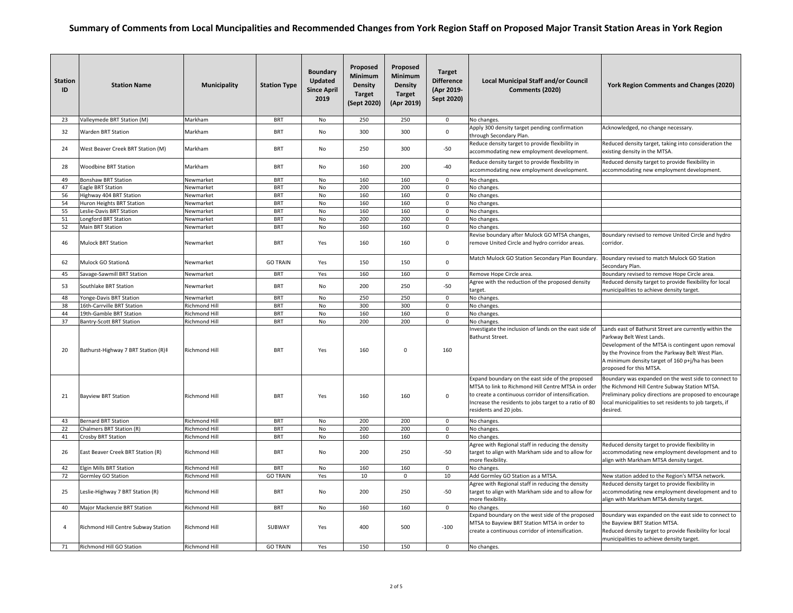| <b>Station</b><br>ID | <b>Station Name</b>                 | Municipality         | <b>Station Type</b> | <b>Boundary</b><br>Updated<br><b>Since April</b><br>2019 | Proposed<br><b>Minimum</b><br><b>Density</b><br><b>Target</b><br>(Sept 2020) | Proposed<br><b>Minimum</b><br><b>Density</b><br><b>Target</b><br>(Apr 2019) | <b>Target</b><br><b>Difference</b><br>(Apr 2019-<br>Sept 2020) | <b>Local Municipal Staff and/or Council</b><br>Comments (2020)                                                                                                                                                                                    | York Region Comments and Changes (2020)                                                                                                                                                                                                                                    |
|----------------------|-------------------------------------|----------------------|---------------------|----------------------------------------------------------|------------------------------------------------------------------------------|-----------------------------------------------------------------------------|----------------------------------------------------------------|---------------------------------------------------------------------------------------------------------------------------------------------------------------------------------------------------------------------------------------------------|----------------------------------------------------------------------------------------------------------------------------------------------------------------------------------------------------------------------------------------------------------------------------|
| 23                   | Valleymede BRT Station (M)          | Markham              | <b>BRT</b>          | No                                                       | 250                                                                          | 250                                                                         | $\mathbf 0$                                                    | No changes.                                                                                                                                                                                                                                       |                                                                                                                                                                                                                                                                            |
| 32                   | <b>Warden BRT Station</b>           | Markham              | <b>BRT</b>          | No                                                       | 300                                                                          | 300                                                                         | $\Omega$                                                       | Apply 300 density target pending confirmation<br>through Secondary Plan.                                                                                                                                                                          | Acknowledged, no change necessary.                                                                                                                                                                                                                                         |
| 24                   | West Beaver Creek BRT Station (M)   | Markham              | <b>BRT</b>          | No                                                       | 250                                                                          | 300                                                                         | -50                                                            | Reduce density target to provide flexibility in<br>accommodating new employment development.                                                                                                                                                      | Reduced density target, taking into consideration the<br>existing density in the MTSA.                                                                                                                                                                                     |
| 28                   | <b>Woodbine BRT Station</b>         | Markham              | <b>BRT</b>          | No                                                       | 160                                                                          | 200                                                                         | $-40$                                                          | Reduce density target to provide flexibility in<br>accommodating new employment development.                                                                                                                                                      | Reduced density target to provide flexibility in<br>accommodating new employment development.                                                                                                                                                                              |
| 49                   | <b>Bonshaw BRT Station</b>          | Newmarket            | <b>BRT</b>          | No                                                       | 160                                                                          | 160                                                                         | $\mathbf 0$                                                    | No changes.                                                                                                                                                                                                                                       |                                                                                                                                                                                                                                                                            |
| 47                   | Eagle BRT Station                   | Newmarket            | <b>BRT</b>          | No                                                       | 200                                                                          | 200                                                                         | 0                                                              | No changes.                                                                                                                                                                                                                                       |                                                                                                                                                                                                                                                                            |
| 56                   | lighway 404 BRT Station             | Newmarket            | <b>BRT</b>          | No                                                       | 160                                                                          | 160                                                                         | 0                                                              | No changes.                                                                                                                                                                                                                                       |                                                                                                                                                                                                                                                                            |
| 54                   | Huron Heights BRT Station           | Newmarket            | <b>BRT</b>          | No                                                       | 160                                                                          | 160                                                                         | 0                                                              | No changes.                                                                                                                                                                                                                                       |                                                                                                                                                                                                                                                                            |
| 55                   | eslie-Davis BRT Station             | Newmarket            | <b>BRT</b>          | No                                                       | 160                                                                          | 160                                                                         | 0                                                              | No changes.                                                                                                                                                                                                                                       |                                                                                                                                                                                                                                                                            |
| 51                   | Longford BRT Station                | Newmarket            | <b>BRT</b>          | No                                                       | 200                                                                          | 200                                                                         | 0                                                              | No changes.                                                                                                                                                                                                                                       |                                                                                                                                                                                                                                                                            |
| 52                   | Main BRT Station                    | Newmarket            | <b>BRT</b>          | No                                                       | 160                                                                          | 160                                                                         | $\mathbf{0}$                                                   | No changes.                                                                                                                                                                                                                                       |                                                                                                                                                                                                                                                                            |
| 46                   | <b>Mulock BRT Station</b>           | Newmarket            | <b>BRT</b>          | Yes                                                      | 160                                                                          | 160                                                                         | $\mathbf{0}$                                                   | Revise boundary after Mulock GO MTSA changes,<br>remove United Circle and hydro corridor areas.                                                                                                                                                   | Boundary revised to remove United Circle and hydro<br>corridor.                                                                                                                                                                                                            |
| 62                   | Mulock GO Station∆                  | Newmarket            | <b>GO TRAIN</b>     | Yes                                                      | 150                                                                          | 150                                                                         | 0                                                              | Match Mulock GO Station Secondary Plan Boundary.                                                                                                                                                                                                  | Boundary revised to match Mulock GO Station<br>Secondary Plan.                                                                                                                                                                                                             |
| 45                   | Savage-Sawmill BRT Station          | Newmarket            | <b>BRT</b>          | Yes                                                      | 160                                                                          | 160                                                                         | 0                                                              | Remove Hope Circle area.                                                                                                                                                                                                                          | Boundary revised to remove Hope Circle area.                                                                                                                                                                                                                               |
| 53                   | Southlake BRT Station               | Newmarket            | <b>BRT</b>          | No                                                       | 200                                                                          | 250                                                                         | $-50$                                                          | Agree with the reduction of the proposed density<br>target.                                                                                                                                                                                       | Reduced density target to provide flexibility for local<br>municipalities to achieve density target.                                                                                                                                                                       |
| 48                   | Yonge-Davis BRT Station             | Newmarket            | <b>BRT</b>          | No                                                       | 250                                                                          | 250                                                                         | 0                                                              | No changes.                                                                                                                                                                                                                                       |                                                                                                                                                                                                                                                                            |
| 38                   | 16th-Carrville BRT Station          | Richmond Hill        | <b>BRT</b>          | No                                                       | 300                                                                          | 300                                                                         | 0                                                              | No changes.                                                                                                                                                                                                                                       |                                                                                                                                                                                                                                                                            |
| 44                   | 19th-Gamble BRT Station             | Richmond Hill        | <b>BRT</b>          | No                                                       | 160                                                                          | 160                                                                         | 0                                                              | No changes.                                                                                                                                                                                                                                       |                                                                                                                                                                                                                                                                            |
| 37                   | Bantry-Scott BRT Station            | <b>Richmond Hill</b> | <b>BRT</b>          | No                                                       | 200                                                                          | 200                                                                         | 0                                                              | No changes.                                                                                                                                                                                                                                       |                                                                                                                                                                                                                                                                            |
| 20                   | Bathurst-Highway 7 BRT Station (R)# | Richmond Hill        | <b>BRT</b>          | Yes                                                      | 160                                                                          | $\mathsf 0$                                                                 | 160                                                            | Investigate the inclusion of lands on the east side of<br>Bathurst Street.                                                                                                                                                                        | Lands east of Bathurst Street are currently within the<br>Parkway Belt West Lands.<br>Development of the MTSA is contingent upon removal<br>by the Province from the Parkway Belt West Plan.<br>A minimum density target of 160 p+j/ha has been<br>proposed for this MTSA. |
| 21                   | <b>Bayview BRT Station</b>          | <b>Richmond Hill</b> | <b>BRT</b>          | Yes                                                      | 160                                                                          | 160                                                                         | $\Omega$                                                       | Expand boundary on the east side of the proposed<br>MTSA to link to Richmond Hill Centre MTSA in order<br>to create a continuous corridor of intensification.<br>Increase the residents to jobs target to a ratio of 80<br>residents and 20 jobs. | Boundary was expanded on the west side to connect to<br>the Richmond Hill Centre Subway Station MTSA.<br>Preliminary policy directions are proposed to encourage<br>local municipalities to set residents to job targets, if<br>desired.                                   |
| 43                   | <b>Bernard BRT Station</b>          | <b>Richmond Hill</b> | <b>BRT</b>          | No                                                       | 200                                                                          | 200                                                                         | $\mathbf{0}$                                                   | No changes.                                                                                                                                                                                                                                       |                                                                                                                                                                                                                                                                            |
| 22                   | Chalmers BRT Station (R)            | Richmond Hill        | <b>BRT</b>          | No                                                       | 200                                                                          | 200                                                                         | 0                                                              | No changes.                                                                                                                                                                                                                                       |                                                                                                                                                                                                                                                                            |
| 41                   | Crosby BRT Station                  | Richmond Hill        | <b>BRT</b>          | No                                                       | 160                                                                          | 160                                                                         | $\mathbf 0$                                                    | No changes.                                                                                                                                                                                                                                       |                                                                                                                                                                                                                                                                            |
| 26                   | East Beaver Creek BRT Station (R)   | <b>Richmond Hill</b> | <b>BRT</b>          | No                                                       | 200                                                                          | 250                                                                         | $-50$                                                          | Agree with Regional staff in reducing the density<br>target to align with Markham side and to allow for<br>more flexibility.                                                                                                                      | Reduced density target to provide flexibility in<br>accommodating new employment development and to<br>align with Markham MTSA density target.                                                                                                                             |
| 42                   | Elgin Mills BRT Station             | Richmond Hill        | <b>BRT</b>          | No                                                       | 160                                                                          | 160                                                                         | 0                                                              | No changes.                                                                                                                                                                                                                                       |                                                                                                                                                                                                                                                                            |
| 72                   | Gormley GO Station                  | <b>Richmond Hill</b> | <b>GO TRAIN</b>     | Yes                                                      | 10                                                                           | $\mathbf 0$                                                                 | 10                                                             | Add Gormley GO Station as a MTSA.                                                                                                                                                                                                                 | New station added to the Region's MTSA network.                                                                                                                                                                                                                            |
| 25                   | Leslie-Highway 7 BRT Station (R)    | Richmond Hill        | <b>BRT</b>          | No                                                       | 200                                                                          | 250                                                                         | $-50$                                                          | Agree with Regional staff in reducing the density<br>target to align with Markham side and to allow for<br>more flexibility.                                                                                                                      | Reduced density target to provide flexibility in<br>accommodating new employment development and to<br>align with Markham MTSA density target.                                                                                                                             |
| 40                   | Major Mackenzie BRT Station         | <b>Richmond Hill</b> | <b>BRT</b>          | No                                                       | 160                                                                          | 160                                                                         | 0                                                              | No changes                                                                                                                                                                                                                                        |                                                                                                                                                                                                                                                                            |
| $\overline{4}$       | Richmond Hill Centre Subway Station | <b>Richmond Hill</b> | SUBWAY              | Yes                                                      | 400                                                                          | 500                                                                         | $-100$                                                         | Expand boundary on the west side of the proposed<br>MTSA to Bayview BRT Station MTSA in order to<br>create a continuous corridor of intensification.                                                                                              | Boundary was expanded on the east side to connect to<br>the Bayview BRT Station MTSA.<br>Reduced density target to provide flexibility for local<br>municipalities to achieve density target.                                                                              |
| 71                   | Richmond Hill GO Station            | Richmond Hill        | <b>GO TRAIN</b>     | Yes                                                      | 150                                                                          | 150                                                                         | $\mathbf{0}$                                                   | No changes.                                                                                                                                                                                                                                       |                                                                                                                                                                                                                                                                            |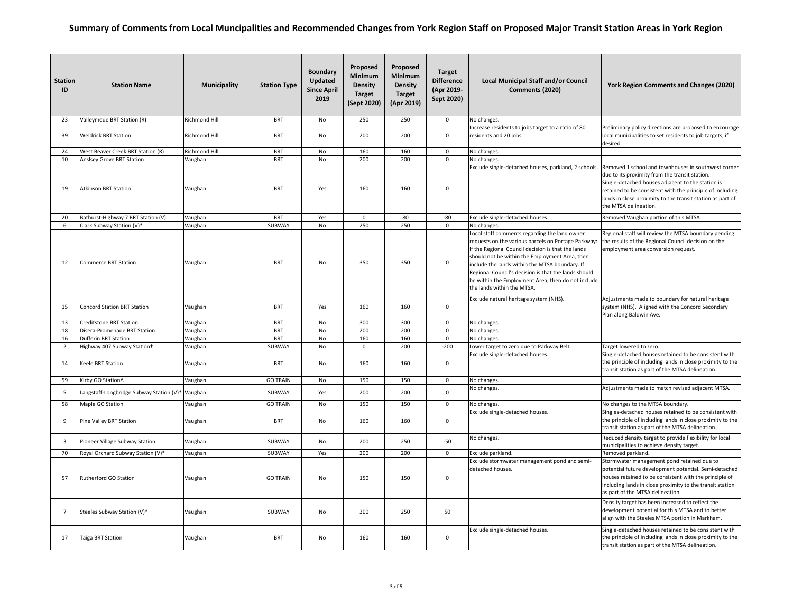| <b>Station</b><br>ID | <b>Station Name</b>                      | <b>Municipality</b>  | <b>Station Type</b> | <b>Boundary</b><br>Updated<br><b>Since April</b><br>2019 | Proposed<br>Minimum<br><b>Density</b><br><b>Target</b><br>(Sept 2020) | Proposed<br>Minimum<br><b>Density</b><br><b>Target</b><br>(Apr 2019) | <b>Target</b><br><b>Difference</b><br>(Apr 2019-<br>Sept 2020) | <b>Local Municipal Staff and/or Council</b><br>Comments (2020)                                                                                                                                                                                                                                                                                                                                             | York Region Comments and Changes (2020)                                                                                                                                                                                                                                                                        |
|----------------------|------------------------------------------|----------------------|---------------------|----------------------------------------------------------|-----------------------------------------------------------------------|----------------------------------------------------------------------|----------------------------------------------------------------|------------------------------------------------------------------------------------------------------------------------------------------------------------------------------------------------------------------------------------------------------------------------------------------------------------------------------------------------------------------------------------------------------------|----------------------------------------------------------------------------------------------------------------------------------------------------------------------------------------------------------------------------------------------------------------------------------------------------------------|
| 23                   | Valleymede BRT Station (R)               | Richmond Hill        | <b>BRT</b>          | <b>No</b>                                                | 250                                                                   | 250                                                                  | $\mathbf{0}$                                                   | No changes.                                                                                                                                                                                                                                                                                                                                                                                                |                                                                                                                                                                                                                                                                                                                |
| 39                   | <b>Weldrick BRT Station</b>              | Richmond Hill        | <b>BRT</b>          | No                                                       | 200                                                                   | 200                                                                  | $\mathbf 0$                                                    | Increase residents to jobs target to a ratio of 80<br>residents and 20 jobs.                                                                                                                                                                                                                                                                                                                               | Preliminary policy directions are proposed to encourage<br>local municipalities to set residents to job targets, if<br>desired.                                                                                                                                                                                |
| 24                   | West Beaver Creek BRT Station (R)        | <b>Richmond Hill</b> | <b>BRT</b>          | No                                                       | 160                                                                   | 160                                                                  | $\mathbf 0$                                                    | No changes.                                                                                                                                                                                                                                                                                                                                                                                                |                                                                                                                                                                                                                                                                                                                |
| 10                   | Anslsey Grove BRT Station                | Vaughan              | <b>BRT</b>          | No                                                       | 200                                                                   | 200                                                                  | $\mathbf 0$                                                    | No changes.                                                                                                                                                                                                                                                                                                                                                                                                |                                                                                                                                                                                                                                                                                                                |
| 19                   | <b>Atkinson BRT Station</b>              | Vaughan              | <b>BRT</b>          | Yes                                                      | 160                                                                   | 160                                                                  | $\mathsf 0$                                                    | Exclude single-detached houses, parkland, 2 schools.                                                                                                                                                                                                                                                                                                                                                       | Removed 1 school and townhouses in southwest corner<br>due to its proximity from the transit station.<br>Single-detached houses adjacent to the station is<br>retained to be consistent with the principle of including<br>lands in close proximity to the transit station as part of<br>the MTSA delineation. |
| 20                   | Bathurst-Highway 7 BRT Station (V)       | Vaughan              | <b>BRT</b>          | Yes                                                      | $\mathsf 0$                                                           | 80                                                                   | -80                                                            | Exclude single-detached houses.                                                                                                                                                                                                                                                                                                                                                                            | Removed Vaughan portion of this MTSA.                                                                                                                                                                                                                                                                          |
| 6                    | Clark Subway Station (V)*                | Vaughan              | SUBWAY              | <b>No</b>                                                | 250                                                                   | 250                                                                  | $\mathbf 0$                                                    | No changes.                                                                                                                                                                                                                                                                                                                                                                                                |                                                                                                                                                                                                                                                                                                                |
| 12                   | <b>Commerce BRT Station</b>              | Vaughan              | <b>BRT</b>          | No                                                       | 350                                                                   | 350                                                                  | $\mathsf 0$                                                    | Local staff comments regarding the land owner<br>requests on the various parcels on Portage Parkway:<br>If the Regional Council decision is that the lands<br>should not be within the Employment Area, then<br>include the lands within the MTSA boundary. If<br>Regional Council's decision is that the lands should<br>be within the Employment Area, then do not include<br>the lands within the MTSA. | Regional staff will review the MTSA boundary pending<br>the results of the Regional Council decision on the<br>employment area conversion request.                                                                                                                                                             |
| 15                   | <b>Concord Station BRT Station</b>       | Vaughan              | <b>BRT</b>          | Yes                                                      | 160                                                                   | 160                                                                  | $\mathbf 0$                                                    | Exclude natural heritage system (NHS).                                                                                                                                                                                                                                                                                                                                                                     | Adjustments made to boundary for natural heritage<br>system (NHS). Aligned with the Concord Secondary<br>Plan along Baldwin Ave.                                                                                                                                                                               |
| 13                   | <b>Creditstone BRT Station</b>           | Vaughan              | <b>BRT</b>          | No                                                       | 300                                                                   | 300                                                                  | $\mathbf 0$                                                    | No changes.                                                                                                                                                                                                                                                                                                                                                                                                |                                                                                                                                                                                                                                                                                                                |
| 18                   | Disera-Promenade BRT Station             | Vaughan              | <b>BRT</b>          | No                                                       | 200                                                                   | 200                                                                  | $\mathbf 0$                                                    | No changes.                                                                                                                                                                                                                                                                                                                                                                                                |                                                                                                                                                                                                                                                                                                                |
| 16                   | <b>Dufferin BRT Station</b>              | Vaughan              | <b>BRT</b>          | <b>No</b>                                                | 160                                                                   | 160                                                                  | $\mathbf 0$                                                    | No changes.                                                                                                                                                                                                                                                                                                                                                                                                |                                                                                                                                                                                                                                                                                                                |
| $\overline{2}$       | Highway 407 Subway Station+              | Vaughan              | SUBWAY              | No                                                       | 0                                                                     | 200                                                                  | $-200$                                                         | Lower target to zero due to Parkway Belt.                                                                                                                                                                                                                                                                                                                                                                  | Target lowered to zero.                                                                                                                                                                                                                                                                                        |
| 14                   | Keele BRT Station                        | Vaughan              | <b>BRT</b>          | No                                                       | 160                                                                   | 160                                                                  | $\mathbf 0$                                                    | Exclude single-detached houses.                                                                                                                                                                                                                                                                                                                                                                            | Single-detached houses retained to be consistent with<br>the principle of including lands in close proximity to the<br>transit station as part of the MTSA delineation.                                                                                                                                        |
| 59                   | Kirby GO Station∆                        | Vaughan              | <b>GO TRAIN</b>     | No                                                       | 150                                                                   | 150                                                                  | $\mathbf 0$                                                    | No changes.                                                                                                                                                                                                                                                                                                                                                                                                |                                                                                                                                                                                                                                                                                                                |
| 5                    | Langstaff-Longbridge Subway Station (V)* | Vaughan              | SUBWAY              | Yes                                                      | 200                                                                   | 200                                                                  | $\mathsf 0$                                                    | No changes.                                                                                                                                                                                                                                                                                                                                                                                                | Adjustments made to match revised adjacent MTSA.                                                                                                                                                                                                                                                               |
| 58                   | Maple GO Station                         | Vaughan              | <b>GO TRAIN</b>     | No                                                       | 150                                                                   | 150                                                                  | $\mathsf 0$                                                    | No changes.                                                                                                                                                                                                                                                                                                                                                                                                | No changes to the MTSA boundary.                                                                                                                                                                                                                                                                               |
| 9                    | Pine Valley BRT Station                  | Vaughan              | <b>BRT</b>          | No                                                       | 160                                                                   | 160                                                                  | $\mathbf 0$                                                    | Exclude single-detached houses.                                                                                                                                                                                                                                                                                                                                                                            | Singles-detached houses retained to be consistent with<br>the principle of including lands in close proximity to the<br>transit station as part of the MTSA delineation.                                                                                                                                       |
| $\overline{3}$       | Pioneer Village Subway Station           | Vaughan              | SUBWAY              | No                                                       | 200                                                                   | 250                                                                  | $-50$                                                          | No changes.                                                                                                                                                                                                                                                                                                                                                                                                | Reduced density target to provide flexibility for local<br>municipalities to achieve density target.                                                                                                                                                                                                           |
| 70                   | Royal Orchard Subway Station (V)*        | Vaughan              | SUBWAY              | Yes                                                      | 200                                                                   | 200                                                                  | $\mathbf 0$                                                    | Exclude parkland.                                                                                                                                                                                                                                                                                                                                                                                          | Removed parkland.                                                                                                                                                                                                                                                                                              |
| 57                   | Rutherford GO Station                    | Vaughan              | <b>GO TRAIN</b>     | No                                                       | 150                                                                   | 150                                                                  | $\mathsf{O}\xspace$                                            | Exclude stormwater management pond and semi-<br>detached houses.                                                                                                                                                                                                                                                                                                                                           | Stormwater management pond retained due to<br>potential future development potential. Semi-detached<br>houses retained to be consistent with the principle of<br>including lands in close proximity to the transit station<br>as part of the MTSA delineation.                                                 |
| $\overline{7}$       | Steeles Subway Station (V)*              | Vaughan              | SUBWAY              | <b>No</b>                                                | 300                                                                   | 250                                                                  | 50                                                             |                                                                                                                                                                                                                                                                                                                                                                                                            | Density target has been increased to reflect the<br>development potential for this MTSA and to better<br>align with the Steeles MTSA portion in Markham.                                                                                                                                                       |
| 17                   | Taiga BRT Station                        | Vaughan              | <b>BRT</b>          | No                                                       | 160                                                                   | 160                                                                  | $\mathsf 0$                                                    | Exclude single-detached houses.                                                                                                                                                                                                                                                                                                                                                                            | Single-detached houses retained to be consistent with<br>the principle of including lands in close proximity to the<br>transit station as part of the MTSA delineation.                                                                                                                                        |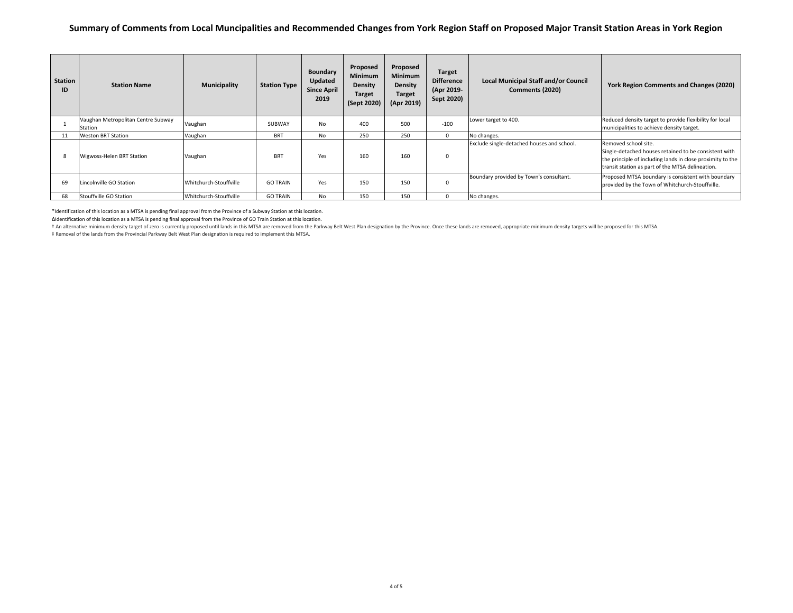| Station<br>ID | <b>Station Name</b>                           | <b>Municipality</b>    | <b>Station Type</b> | <b>Boundary</b><br>Updated<br><b>Since April</b><br>2019 | Proposed<br><b>Minimum</b><br><b>Density</b><br><b>Target</b><br>(Sept 2020) | Proposed<br><b>Minimum</b><br><b>Density</b><br><b>Target</b><br>(Apr 2019) | <b>Target</b><br><b>Difference</b><br>(Apr 2019-<br>Sept 2020) | <b>Local Municipal Staff and/or Council</b><br>Comments (2020) | York Region Comments and Changes (2020)                                                                                                                                                         |
|---------------|-----------------------------------------------|------------------------|---------------------|----------------------------------------------------------|------------------------------------------------------------------------------|-----------------------------------------------------------------------------|----------------------------------------------------------------|----------------------------------------------------------------|-------------------------------------------------------------------------------------------------------------------------------------------------------------------------------------------------|
|               | Vaughan Metropolitan Centre Subway<br>Station | Vaughan                | SUBWAY              | No                                                       | 400                                                                          | 500                                                                         | $-100$                                                         | Lower target to 400.                                           | Reduced density target to provide flexibility for local<br>municipalities to achieve density target.                                                                                            |
| 11            | <b>Weston BRT Station</b>                     | Vaughan                | <b>BRT</b>          | No                                                       | 250                                                                          | 250                                                                         | $\Omega$                                                       | No changes.                                                    |                                                                                                                                                                                                 |
|               | Wigwoss-Helen BRT Station                     | Vaughan                | <b>BRT</b>          | Yes                                                      | 160                                                                          | 160                                                                         | $\Omega$                                                       | Exclude single-detached houses and school.                     | Removed school site.<br>Single-detached houses retained to be consistent with<br>the principle of including lands in close proximity to the<br>transit station as part of the MTSA delineation. |
| 69            | Lincolnville GO Station                       | Whitchurch-Stouffville | <b>GO TRAIN</b>     | Yes                                                      | 150                                                                          | 150                                                                         | 0                                                              | Boundary provided by Town's consultant.                        | Proposed MTSA boundary is consistent with boundary<br>provided by the Town of Whitchurch-Stouffville.                                                                                           |
| 68            | Stouffville GO Station                        | Whitchurch-Stouffville | <b>GO TRAIN</b>     | No                                                       | 150                                                                          | 150                                                                         |                                                                | No changes.                                                    |                                                                                                                                                                                                 |

\*Identification of this location as <sup>a</sup> MTSA is pending final approval from the Province of <sup>a</sup> Subway Station at this location.

ΔIdentification of this location as <sup>a</sup> MTSA is pending final approval from the Province of GO Train Station at this location.

t An alternative minimum density target of zero is currently proposed until lands in this MTSA are removed from the Parkway Belt West Plan designation by the Province. Once these lands are removed, appropriate minimum dens

‡ Removal of the lands from the Provincial Parkway Belt West Plan designaƟon is required to implement this MTSA.